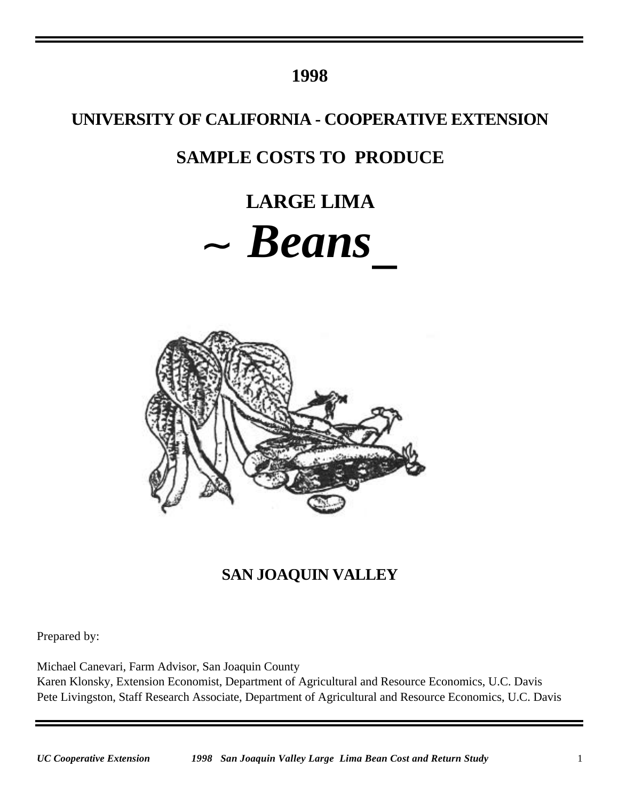## **1998**

## **UNIVERSITY OF CALIFORNIA - COOPERATIVE EXTENSION**

# **SAMPLE COSTS TO PRODUCE**

# **LARGE LIMA** *Beans*



# **SAN JOAQUIN VALLEY**

Prepared by:

Michael Canevari, Farm Advisor, San Joaquin County Karen Klonsky, Extension Economist, Department of Agricultural and Resource Economics, U.C. Davis Pete Livingston, Staff Research Associate, Department of Agricultural and Resource Economics, U.C. Davis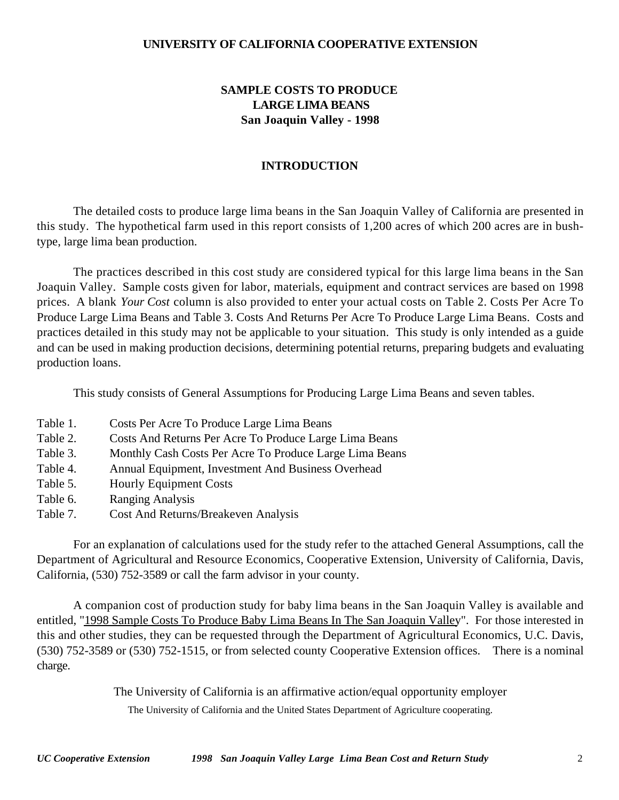#### **UNIVERSITY OF CALIFORNIA COOPERATIVE EXTENSION**

## **SAMPLE COSTS TO PRODUCE LARGE LIMA BEANS San Joaquin Valley - 1998**

#### **INTRODUCTION**

The detailed costs to produce large lima beans in the San Joaquin Valley of California are presented in this study. The hypothetical farm used in this report consists of 1,200 acres of which 200 acres are in bushtype, large lima bean production.

The practices described in this cost study are considered typical for this large lima beans in the San Joaquin Valley. Sample costs given for labor, materials, equipment and contract services are based on 1998 prices. A blank *Your Cost* column is also provided to enter your actual costs on Table 2. Costs Per Acre To Produce Large Lima Beans and Table 3. Costs And Returns Per Acre To Produce Large Lima Beans. Costs and practices detailed in this study may not be applicable to your situation. This study is only intended as a guide and can be used in making production decisions, determining potential returns, preparing budgets and evaluating production loans.

This study consists of General Assumptions for Producing Large Lima Beans and seven tables.

- Table 1. Costs Per Acre To Produce Large Lima Beans
- Table 2. Costs And Returns Per Acre To Produce Large Lima Beans
- Table 3. Monthly Cash Costs Per Acre To Produce Large Lima Beans
- Table 4. Annual Equipment, Investment And Business Overhead
- Table 5. Hourly Equipment Costs
- Table 6. Ranging Analysis
- Table 7. Cost And Returns/Breakeven Analysis

For an explanation of calculations used for the study refer to the attached General Assumptions, call the Department of Agricultural and Resource Economics, Cooperative Extension, University of California, Davis, California, (530) 752-3589 or call the farm advisor in your county.

A companion cost of production study for baby lima beans in the San Joaquin Valley is available and entitled, "1998 Sample Costs To Produce Baby Lima Beans In The San Joaquin Valley". For those interested in this and other studies, they can be requested through the Department of Agricultural Economics, U.C. Davis, (530) 752-3589 or (530) 752-1515, or from selected county Cooperative Extension offices. There is a nominal charge.

The University of California is an affirmative action/equal opportunity employer

The University of California and the United States Department of Agriculture cooperating.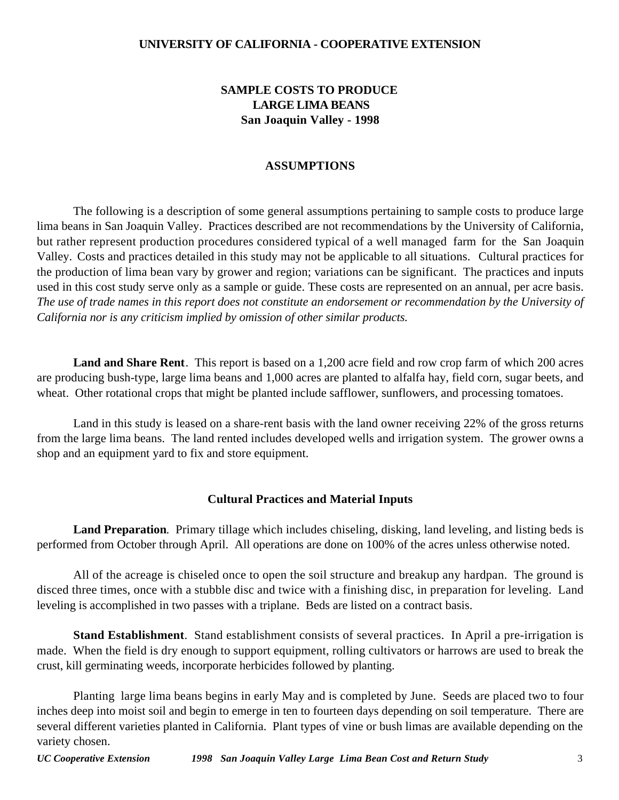### **UNIVERSITY OF CALIFORNIA - COOPERATIVE EXTENSION**

## **SAMPLE COSTS TO PRODUCE LARGE LIMA BEANS San Joaquin Valley - 1998**

#### **ASSUMPTIONS**

The following is a description of some general assumptions pertaining to sample costs to produce large lima beans in San Joaquin Valley. Practices described are not recommendations by the University of California, but rather represent production procedures considered typical of a well managed farm for the San Joaquin Valley. Costs and practices detailed in this study may not be applicable to all situations.Cultural practices for the production of lima bean vary by grower and region; variations can be significant. The practices and inputs used in this cost study serve only as a sample or guide. These costs are represented on an annual, per acre basis. *The use of trade names in this report does not constitute an endorsement or recommendation by the University of California nor is any criticism implied by omission of other similar products.*

**Land and Share Rent**. This report is based on a 1,200 acre field and row crop farm of which 200 acres are producing bush-type, large lima beans and 1,000 acres are planted to alfalfa hay, field corn, sugar beets, and wheat. Other rotational crops that might be planted include safflower, sunflowers, and processing tomatoes.

Land in this study is leased on a share-rent basis with the land owner receiving 22% of the gross returns from the large lima beans. The land rented includes developed wells and irrigation system. The grower owns a shop and an equipment yard to fix and store equipment.

#### **Cultural Practices and Material Inputs**

**Land Preparation**. Primary tillage which includes chiseling, disking, land leveling, and listing beds is performed from October through April. All operations are done on 100% of the acres unless otherwise noted.

All of the acreage is chiseled once to open the soil structure and breakup any hardpan. The ground is disced three times, once with a stubble disc and twice with a finishing disc, in preparation for leveling. Land leveling is accomplished in two passes with a triplane. Beds are listed on a contract basis.

**Stand Establishment**. Stand establishment consists of several practices. In April a pre-irrigation is made. When the field is dry enough to support equipment, rolling cultivators or harrows are used to break the crust, kill germinating weeds, incorporate herbicides followed by planting.

Planting large lima beans begins in early May and is completed by June. Seeds are placed two to four inches deep into moist soil and begin to emerge in ten to fourteen days depending on soil temperature. There are several different varieties planted in California. Plant types of vine or bush limas are available depending on the variety chosen.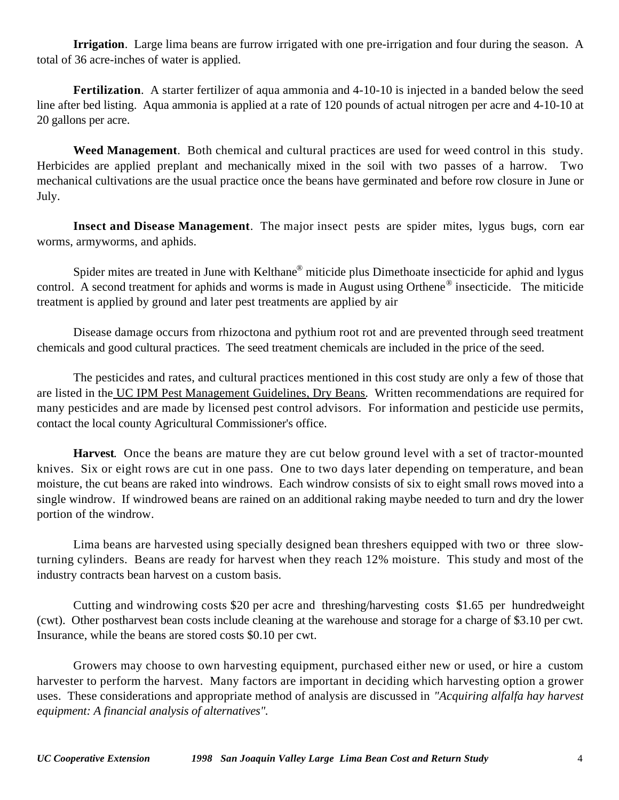**Irrigation**. Large lima beans are furrow irrigated with one pre-irrigation and four during the season. A total of 36 acre-inches of water is applied.

**Fertilization**. A starter fertilizer of aqua ammonia and 4-10-10 is injected in a banded below the seed line after bed listing. Aqua ammonia is applied at a rate of 120 pounds of actual nitrogen per acre and 4-10-10 at 20 gallons per acre.

**Weed Management**. Both chemical and cultural practices are used for weed control in this study. Herbicides are applied preplant and mechanically mixed in the soil with two passes of a harrow. Two mechanical cultivations are the usual practice once the beans have germinated and before row closure in June or July.

**Insect and Disease Management**. The major insect pests are spider mites, lygus bugs, corn ear worms, armyworms, and aphids.

Spider mites are treated in June with Kelthane<sup>®</sup> miticide plus Dimethoate insecticide for aphid and lygus control. A second treatment for aphids and worms is made in August using Orthene<sup>®</sup> insecticide. The miticide treatment is applied by ground and later pest treatments are applied by air

Disease damage occurs from rhizoctona and pythium root rot and are prevented through seed treatment chemicals and good cultural practices. The seed treatment chemicals are included in the price of the seed.

The pesticides and rates, and cultural practices mentioned in this cost study are only a few of those that are listed in the UC IPM Pest Management Guidelines, Dry Beans. Written recommendations are required for many pesticides and are made by licensed pest control advisors. For information and pesticide use permits, contact the local county Agricultural Commissioner's office.

**Harvest**. Once the beans are mature they are cut below ground level with a set of tractor-mounted knives. Six or eight rows are cut in one pass. One to two days later depending on temperature, and bean moisture, the cut beans are raked into windrows. Each windrow consists of six to eight small rows moved into a single windrow. If windrowed beans are rained on an additional raking maybe needed to turn and dry the lower portion of the windrow.

Lima beans are harvested using specially designed bean threshers equipped with two or three slowturning cylinders. Beans are ready for harvest when they reach 12% moisture. This study and most of the industry contracts bean harvest on a custom basis.

Cutting and windrowing costs \$20 per acre and threshing/harvesting costs \$1.65 per hundredweight (cwt). Other postharvest bean costs include cleaning at the warehouse and storage for a charge of \$3.10 per cwt. Insurance, while the beans are stored costs \$0.10 per cwt.

Growers may choose to own harvesting equipment, purchased either new or used, or hire a custom harvester to perform the harvest. Many factors are important in deciding which harvesting option a grower uses. These considerations and appropriate method of analysis are discussed in *"Acquiring alfalfa hay harvest equipment: A financial analysis of alternatives".*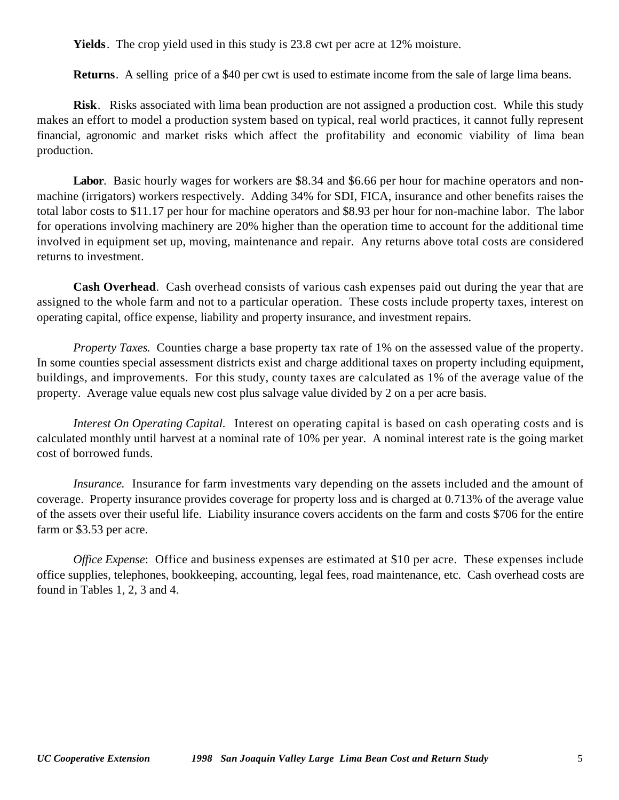**Yields**. The crop yield used in this study is 23.8 cwt per acre at 12% moisture.

**Returns**. A selling price of a \$40 per cwt is used to estimate income from the sale of large lima beans.

**Risk**. Risks associated with lima bean production are not assigned a production cost. While this study makes an effort to model a production system based on typical, real world practices, it cannot fully represent financial, agronomic and market risks which affect the profitability and economic viability of lima bean production.

**Labor**. Basic hourly wages for workers are \$8.34 and \$6.66 per hour for machine operators and nonmachine (irrigators) workers respectively. Adding 34% for SDI, FICA, insurance and other benefits raises the total labor costs to \$11.17 per hour for machine operators and \$8.93 per hour for non-machine labor. The labor for operations involving machinery are 20% higher than the operation time to account for the additional time involved in equipment set up, moving, maintenance and repair. Any returns above total costs are considered returns to investment.

**Cash Overhead**. Cash overhead consists of various cash expenses paid out during the year that are assigned to the whole farm and not to a particular operation. These costs include property taxes, interest on operating capital, office expense, liability and property insurance, and investment repairs.

*Property Taxes*. Counties charge a base property tax rate of 1% on the assessed value of the property. In some counties special assessment districts exist and charge additional taxes on property including equipment, buildings, and improvements. For this study, county taxes are calculated as 1% of the average value of the property. Average value equals new cost plus salvage value divided by 2 on a per acre basis.

*Interest On Operating Capital.* Interest on operating capital is based on cash operating costs and is calculated monthly until harvest at a nominal rate of 10% per year. A nominal interest rate is the going market cost of borrowed funds.

*Insurance.* Insurance for farm investments vary depending on the assets included and the amount of coverage. Property insurance provides coverage for property loss and is charged at 0.713% of the average value of the assets over their useful life. Liability insurance covers accidents on the farm and costs \$706 for the entire farm or \$3.53 per acre.

*Office Expense*: Office and business expenses are estimated at \$10 per acre. These expenses include office supplies, telephones, bookkeeping, accounting, legal fees, road maintenance, etc. Cash overhead costs are found in Tables 1, 2, 3 and 4.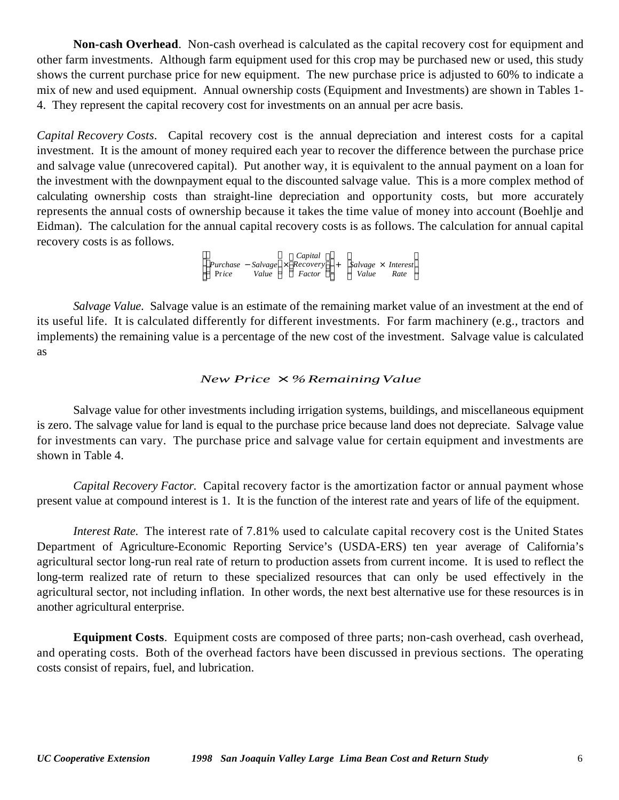**Non-cash Overhead**. Non-cash overhead is calculated as the capital recovery cost for equipment and other farm investments. Although farm equipment used for this crop may be purchased new or used, this study shows the current purchase price for new equipment. The new purchase price is adjusted to 60% to indicate a mix of new and used equipment. Annual ownership costs (Equipment and Investments) are shown in Tables 1- 4. They represent the capital recovery cost for investments on an annual per acre basis.

*Capital Recovery Costs*. Capital recovery cost is the annual depreciation and interest costs for a capital investment. It is the amount of money required each year to recover the difference between the purchase price and salvage value (unrecovered capital). Put another way, it is equivalent to the annual payment on a loan for the investment with the downpayment equal to the discounted salvage value. This is a more complex method of calculating ownership costs than straight-line depreciation and opportunity costs, but more accurately represents the annual costs of ownership because it takes the time value of money into account (Boehlje and Eidman). The calculation for the annual capital recovery costs is as follows. The calculation for annual capital recovery costs is as follows.

> *Purchase* − *Salvage* × *Recovery* Pr*ice Value Factor Capital*  $\overline{\phantom{a}}$  + *Salvage* × *Interest Value Rate*  $\mathcal{S}_{\mathcal{S}}$

*Salvage Value*. Salvage value is an estimate of the remaining market value of an investment at the end of its useful life. It is calculated differently for different investments. For farm machinery (e.g., tractors and implements) the remaining value is a percentage of the new cost of the investment. Salvage value is calculated as

#### *New Price* × *%RemainingValue*

Salvage value for other investments including irrigation systems, buildings, and miscellaneous equipment is zero. The salvage value for land is equal to the purchase price because land does not depreciate. Salvage value for investments can vary. The purchase price and salvage value for certain equipment and investments are shown in Table 4.

*Capital Recovery Factor*. Capital recovery factor is the amortization factor or annual payment whose present value at compound interest is 1. It is the function of the interest rate and years of life of the equipment.

*Interest Rate.* The interest rate of 7.81% used to calculate capital recovery cost is the United States Department of Agriculture-Economic Reporting Service's (USDA-ERS) ten year average of California's agricultural sector long-run real rate of return to production assets from current income. It is used to reflect the long-term realized rate of return to these specialized resources that can only be used effectively in the agricultural sector, not including inflation. In other words, the next best alternative use for these resources is in another agricultural enterprise.

**Equipment Costs**. Equipment costs are composed of three parts; non-cash overhead, cash overhead, and operating costs. Both of the overhead factors have been discussed in previous sections. The operating costs consist of repairs, fuel, and lubrication.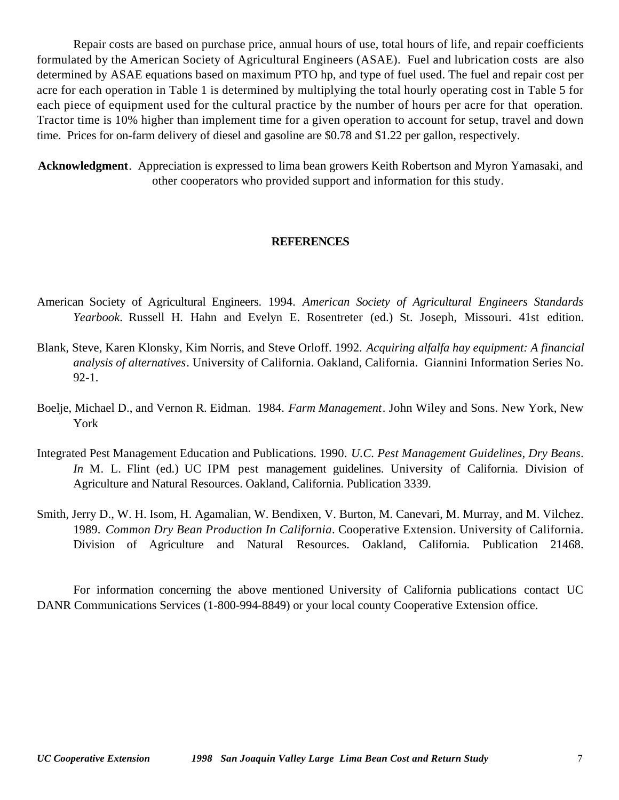Repair costs are based on purchase price, annual hours of use, total hours of life, and repair coefficients formulated by the American Society of Agricultural Engineers (ASAE). Fuel and lubrication costs are also determined by ASAE equations based on maximum PTO hp, and type of fuel used. The fuel and repair cost per acre for each operation in Table 1 is determined by multiplying the total hourly operating cost in Table 5 for each piece of equipment used for the cultural practice by the number of hours per acre for that operation. Tractor time is 10% higher than implement time for a given operation to account for setup, travel and down time. Prices for on-farm delivery of diesel and gasoline are \$0.78 and \$1.22 per gallon, respectively.

**Acknowledgment**. Appreciation is expressed to lima bean growers Keith Robertson and Myron Yamasaki, and other cooperators who provided support and information for this study.

### **REFERENCES**

- American Society of Agricultural Engineers. 1994. *American Society of Agricultural Engineers Standards Yearbook*. Russell H. Hahn and Evelyn E. Rosentreter (ed.) St. Joseph, Missouri. 41st edition.
- Blank, Steve, Karen Klonsky, Kim Norris, and Steve Orloff. 1992. *Acquiring alfalfa hay equipment: A financial analysis of alternatives*. University of California. Oakland, California. Giannini Information Series No. 92-1.
- Boelje, Michael D., and Vernon R. Eidman. 1984. *Farm Management*. John Wiley and Sons. New York, New York
- Integrated Pest Management Education and Publications. 1990. *U.C. Pest Management Guidelines, Dry Beans*. *In* M. L. Flint (ed.) UC IPM pest management guidelines. University of California. Division of Agriculture and Natural Resources. Oakland, California. Publication 3339.
- Smith, Jerry D., W. H. Isom, H. Agamalian, W. Bendixen, V. Burton, M. Canevari, M. Murray, and M. Vilchez. 1989. *Common Dry Bean Production In California*. Cooperative Extension. University of California. Division of Agriculture and Natural Resources. Oakland, California. Publication 21468.

For information concerning the above mentioned University of California publications contact UC DANR Communications Services (1-800-994-8849) or your local county Cooperative Extension office.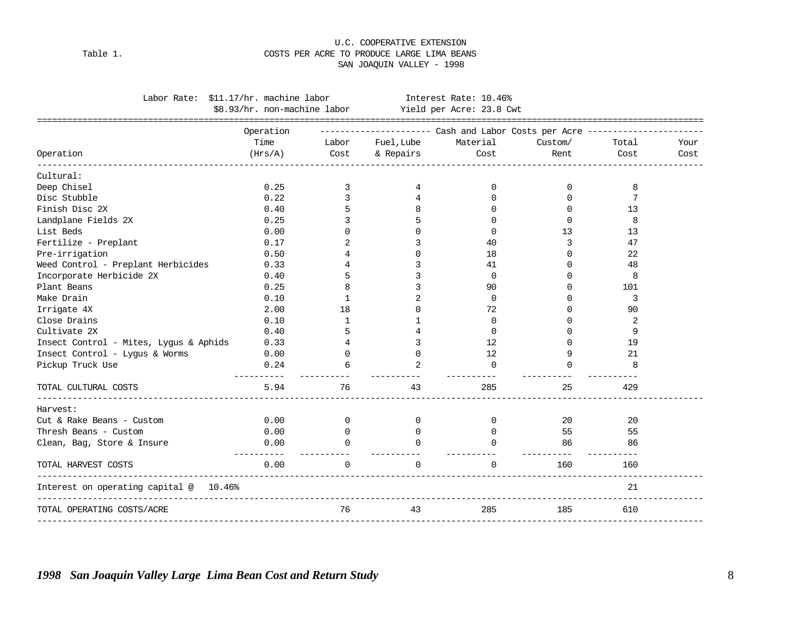#### Table 1. COSTS PER ACRE TO PRODUCE LARGE LIMA BEANS SAN JOAQUIN VALLEY - 1998

U.C. COOPERATIVE EXTENSION

|                                                             | Labor Rate: \$11.17/hr. machine labor                 |                         |                | Interest Rate: 10.46%                                                         |                    |       |      |
|-------------------------------------------------------------|-------------------------------------------------------|-------------------------|----------------|-------------------------------------------------------------------------------|--------------------|-------|------|
|                                                             | \$8.93/hr. non-machine labor Yield per Acre: 23.8 Cwt |                         |                |                                                                               |                    |       |      |
|                                                             |                                                       |                         |                |                                                                               |                    |       |      |
|                                                             | Operation                                             |                         |                | ----------------------        Cash and Labor Costs per Acre ----------------- |                    |       |      |
|                                                             | Time                                                  | Labor                   | Fuel, Lube     | Material                                                                      | Custom/            | Total | Your |
| Operation                                                   | (Hrs/A)                                               | Cost                    | & Repairs Cost |                                                                               | Rent               | Cost  | Cost |
| Cultural:                                                   |                                                       |                         |                |                                                                               |                    |       |      |
| Deep Chisel                                                 | 0.25                                                  | 3                       | 4              | 0                                                                             | 0                  | 8     |      |
| Disc Stubble                                                | 0.22                                                  | 3                       |                | <sup>0</sup>                                                                  | $\Omega$           | 7     |      |
| Finish Disc 2X                                              | 0.40                                                  | 5                       | 8              | $\Omega$                                                                      | $\Omega$           | 13    |      |
| Landplane Fields 2X                                         | 0.25                                                  | 3                       | 5              | $\Omega$                                                                      | $\Omega$           | 8     |      |
| List Beds                                                   | 0.00                                                  | 0                       | <sup>0</sup>   | $\Omega$                                                                      | 13                 | 13    |      |
| Fertilize - Preplant                                        | 0.17                                                  | 2                       | 3              | 40                                                                            | 3                  | 47    |      |
| Pre-irrigation                                              | 0.50                                                  | 4                       | $\Omega$       | 18                                                                            | 0                  | 22    |      |
| Weed Control - Preplant Herbicides                          | 0.33                                                  | 4                       | 3              | 41                                                                            | $\Omega$           | 48    |      |
| Incorporate Herbicide 2X                                    | 0.40                                                  | 5                       | 3              | $\mathbf 0$                                                                   | $\Omega$           | 8     |      |
| Plant Beans                                                 | 0.25                                                  | 8                       | 3              | 90                                                                            | $\Omega$           | 101   |      |
| Make Drain                                                  | 0.10                                                  | 1                       |                | $\mathbf 0$                                                                   | ∩                  | 3     |      |
| Irrigate 4X                                                 | 2.00                                                  | 18                      | <sup>0</sup>   | 72                                                                            | ∩                  | 90    |      |
| Close Drains                                                | 0.10                                                  | 1                       |                | $\Omega$                                                                      | ∩                  | 2     |      |
| Cultivate 2X                                                | 0.40                                                  | 5                       |                | $\Omega$                                                                      | ∩                  | 9     |      |
| Insect Control - Mites, Lygus & Aphids                      | 0.33                                                  | $\overline{4}$          | 3              | 12                                                                            | $\Omega$           | 19    |      |
| Insect Control - Lyqus & Worms                              | 0.00                                                  | $\Omega$                | $\Omega$       | 12                                                                            | 9                  | 21    |      |
| Pickup Truck Use                                            | 0.24                                                  |                         |                | $\Omega$                                                                      | $\Omega$           | 8     |      |
| TOTAL CULTURAL COSTS                                        | -----------<br>5.94                                   | 76                      | 43             | 285                                                                           | 25                 | 429   |      |
| Harvest:                                                    |                                                       |                         |                |                                                                               |                    |       |      |
| Cut & Rake Beans - Custom                                   | 0.00                                                  | $\Omega$                | $\Omega$       | $\Omega$                                                                      | 20                 | 20    |      |
| Thresh Beans - Custom                                       | 0.00                                                  | $\mathbf{0}$            | 0              | $\Omega$                                                                      | 55                 | 55    |      |
| Clean, Bag, Store & Insure                                  | 0.00                                                  | $\Omega$                | $\cap$         | $\cap$                                                                        | 86                 | 86    |      |
| TOTAL HARVEST COSTS                                         | -----------<br>0.00                                   | -----------<br>$\Omega$ | $\Omega$       | $\Omega$                                                                      | -----------<br>160 | 160   |      |
| Interest on operating capital @ 10.46%<br>----------------- |                                                       |                         |                |                                                                               |                    | 21    |      |
| TOTAL OPERATING COSTS/ACRE                                  |                                                       | 76                      | 43             | 285                                                                           | 185                | 610   |      |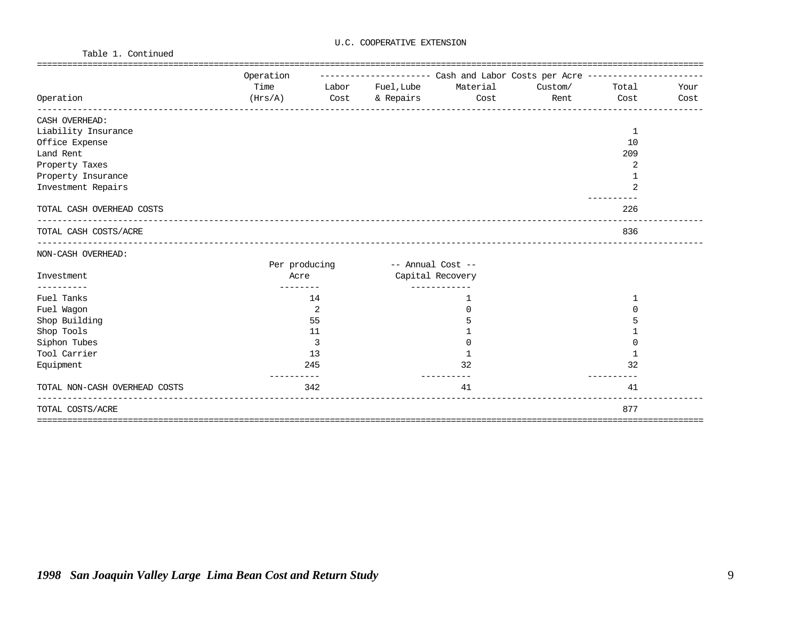Table 1. Continued

|                               | Operation |               |                           | ---------------------        Cash and Labor Costs per Acre ----------------- |               |      |      |
|-------------------------------|-----------|---------------|---------------------------|------------------------------------------------------------------------------|---------------|------|------|
|                               | Time      |               | Labor Fuel, Lube Material |                                                                              | Custom/ Total |      | Your |
| Operation                     |           |               |                           | (Hrs/A) Cost & Repairs Cost                                                  | Rent          | Cost | Cost |
| CASH OVERHEAD:                |           |               |                           |                                                                              |               |      |      |
| Liability Insurance           |           |               |                           |                                                                              |               | 1    |      |
| Office Expense                |           |               |                           |                                                                              |               | 10   |      |
| Land Rent                     |           |               |                           |                                                                              |               | 209  |      |
| Property Taxes                |           |               |                           |                                                                              |               | 2    |      |
| Property Insurance            |           |               |                           |                                                                              |               |      |      |
| Investment Repairs            |           |               |                           |                                                                              |               | 2    |      |
| TOTAL CASH OVERHEAD COSTS     |           |               |                           |                                                                              |               | 226  |      |
| TOTAL CASH COSTS/ACRE         |           |               |                           |                                                                              |               | 836  |      |
| NON-CASH OVERHEAD:            |           |               |                           |                                                                              |               |      |      |
|                               |           | Per producing | -- Annual Cost --         |                                                                              |               |      |      |
| Investment<br>---------       | Acre      |               | Capital Recovery          |                                                                              |               |      |      |
| Fuel Tanks                    |           | 14            |                           | 1                                                                            |               |      |      |
| Fuel Wagon                    |           | 2             |                           | $\Omega$                                                                     |               | 0    |      |
| Shop Building                 |           | 55            |                           |                                                                              |               |      |      |
| Shop Tools                    |           | 11            |                           |                                                                              |               |      |      |
| Siphon Tubes                  |           | 3             |                           | U                                                                            |               | ∩    |      |
| Tool Carrier                  |           | 13            |                           | $\mathbf{1}$                                                                 |               |      |      |
| Equipment                     |           | 245           |                           | 32                                                                           |               | 32   |      |
| TOTAL NON-CASH OVERHEAD COSTS |           | 342           |                           | 41                                                                           |               | 41   |      |
| TOTAL COSTS/ACRE              |           |               |                           |                                                                              |               | 877  |      |
|                               |           |               |                           |                                                                              |               |      |      |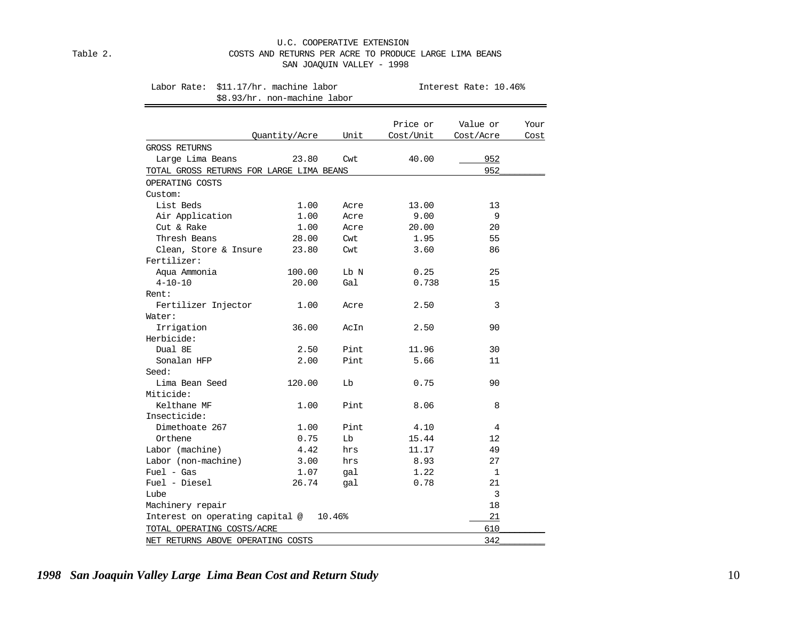#### U.C. COOPERATIVE EXTENSION Table 2. COSTS AND RETURNS PER ACRE TO PRODUCE LARGE LIMA BEANS SAN JOAQUIN VALLEY - 1998

Labor Rate: \$11.17/hr. machine labor **Interest Rate: 10.46%** 

\$8.93/hr. non-machine labor

|                                          |               |        | Price or  | Value or  | Your |
|------------------------------------------|---------------|--------|-----------|-----------|------|
|                                          | Quantity/Acre | Unit   | Cost/Unit | Cost/Acre | Cost |
| GROSS RETURNS                            |               |        |           |           |      |
| Large Lima Beans                         | 23.80         | Cwt    | 40.00     | 952       |      |
| TOTAL GROSS RETURNS FOR LARGE LIMA BEANS |               |        |           | 952       |      |
| OPERATING COSTS                          |               |        |           |           |      |
| Custom:                                  |               |        |           |           |      |
| List Beds                                | 1.00          | Acre   | 13.00     | 13        |      |
| Air Application                          | 1.00          | Acre   | 9.00      | 9         |      |
| Cut & Rake                               | 1.00          | Acre   | 20.00     | 20        |      |
| Thresh Beans                             | 28.00         | Cwt    | 1.95      | 55        |      |
| Clean, Store & Insure                    | 23.80         | Cwt    | 3.60      | 86        |      |
| Fertilizer:                              |               |        |           |           |      |
| Aqua Ammonia                             | 100.00        | Lb N   | 0.25      | 25        |      |
| $4 - 10 - 10$                            | 20.00         | Gal    | 0.738     | 15        |      |
| Rent:                                    |               |        |           |           |      |
| Fertilizer Injector                      | 1.00          | Acre   | 2.50      | 3         |      |
| Water:                                   |               |        |           |           |      |
| Irrigation                               | 36.00         | AcIn   | 2.50      | 90        |      |
| Herbicide:                               |               |        |           |           |      |
| Dual 8E                                  | 2.50          | Pint   | 11.96     | 30        |      |
| Sonalan HFP                              | 2.00          | Pint   | 5.66      | 11        |      |
| Seed:                                    |               |        |           |           |      |
| Lima Bean Seed                           | 120.00        | Lb     | 0.75      | 90        |      |
| Miticide:                                |               |        |           |           |      |
| Kelthane MF                              | 1.00          | Pint   | 8.06      | 8         |      |
| Insecticide:                             |               |        |           |           |      |
| Dimethoate 267                           | 1.00          | Pint   | 4.10      | 4         |      |
| Orthene                                  | 0.75          | Lb     | 15.44     | 12        |      |
| Labor (machine)                          | 4.42          | hrs    | 11.17     | 49        |      |
| Labor (non-machine)                      | 3.00          | hrs    | 8.93      | 27        |      |
| $Fuel - Gas$                             | 1.07          | gal    | 1.22      | 1         |      |
| Fuel - Diesel                            | 26.74         | qal    | 0.78      | 21        |      |
| Lube                                     |               |        |           | 3         |      |
| Machinery repair                         |               |        |           | 18        |      |
| Interest on operating capital @          |               | 10.46% |           | 21        |      |
| TOTAL OPERATING COSTS/ACRE               |               |        |           | 610       |      |
| NET RETURNS ABOVE OPERATING COSTS        |               |        |           | 342       |      |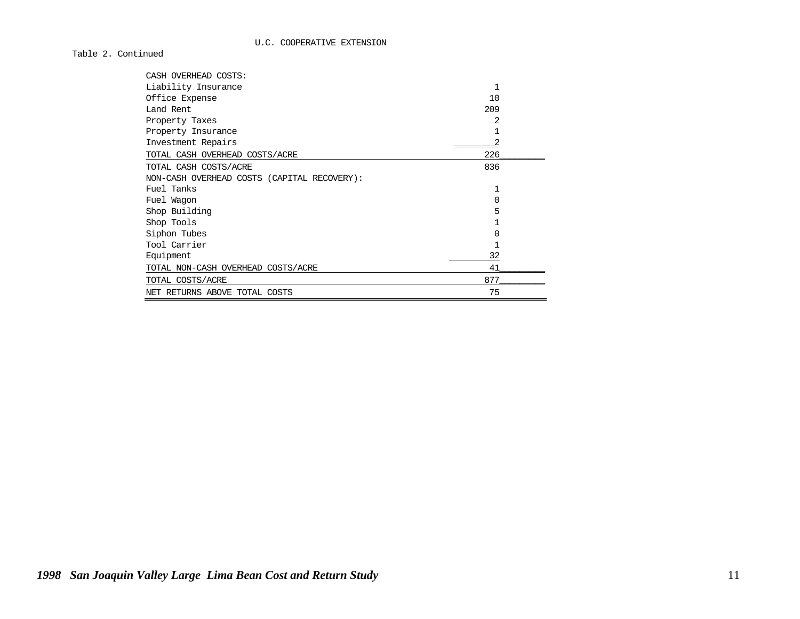Table 2. Continued

| CASH OVERHEAD COSTS:                        |     |  |
|---------------------------------------------|-----|--|
| Liability Insurance                         | 1   |  |
| Office Expense                              | 10  |  |
| Land Rent                                   | 209 |  |
| Property Taxes                              | 2   |  |
| Property Insurance                          |     |  |
| Investment Repairs                          |     |  |
| TOTAL CASH OVERHEAD COSTS/ACRE              | 226 |  |
| TOTAL CASH COSTS/ACRE                       | 836 |  |
| NON-CASH OVERHEAD COSTS (CAPITAL RECOVERY): |     |  |
| Fuel Tanks                                  |     |  |
| Fuel Wagon                                  | O   |  |
| Shop Building                               | 5   |  |
| Shop Tools                                  |     |  |
| Siphon Tubes                                | U   |  |
| Tool Carrier                                |     |  |
| Equipment                                   | 32  |  |
| TOTAL NON-CASH OVERHEAD COSTS/ACRE          | 41  |  |
| TOTAL COSTS/ACRE                            | 877 |  |
| NET RETURNS ABOVE TOTAL COSTS               | 75  |  |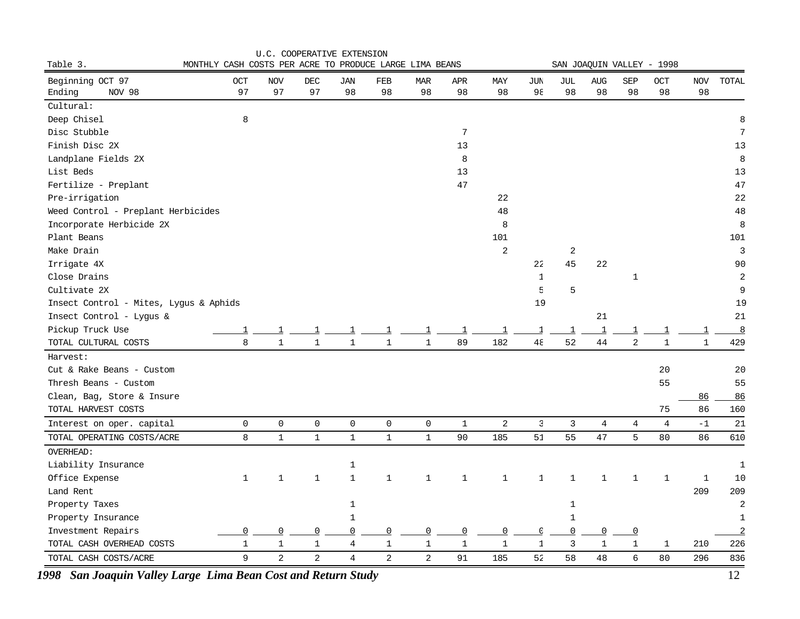|                                        |                                                         | U.C. COOPERATIVE EXTENSION |                |                |                     |                |              |                |              |                         |              |                |                           |              |                |
|----------------------------------------|---------------------------------------------------------|----------------------------|----------------|----------------|---------------------|----------------|--------------|----------------|--------------|-------------------------|--------------|----------------|---------------------------|--------------|----------------|
| Table 3.                               | MONTHLY CASH COSTS PER ACRE TO PRODUCE LARGE LIMA BEANS |                            |                |                |                     |                |              |                |              |                         |              |                | SAN JOAQUIN VALLEY - 1998 |              |                |
| Beginning OCT 97                       | OCT                                                     | NOV                        | DEC            | JAN            | FEB                 | <b>MAR</b>     | APR          | MAY            | JUN          | JUL                     | <b>AUG</b>   | SEP            | OCT                       | NOV          | TOTAL          |
| Ending<br>NOV 98                       | 97                                                      | 97                         | 97             | 98             | 98                  | 98             | 98           | 98             | $9\xi$       | 98                      | 98           | 98             | 98                        | 98           |                |
| Cultural:                              |                                                         |                            |                |                |                     |                |              |                |              |                         |              |                |                           |              |                |
| Deep Chisel                            | 8                                                       |                            |                |                |                     |                |              |                |              |                         |              |                |                           |              | 8              |
| Disc Stubble                           |                                                         |                            |                |                |                     |                | 7            |                |              |                         |              |                |                           |              | $\overline{7}$ |
| Finish Disc 2X                         |                                                         |                            |                |                |                     |                | 13           |                |              |                         |              |                |                           |              | 13             |
| Landplane Fields 2X                    |                                                         |                            |                |                |                     |                | 8            |                |              |                         |              |                |                           |              | 8              |
| List Beds                              |                                                         |                            |                |                |                     |                | 13           |                |              |                         |              |                |                           |              | 13             |
| Fertilize - Preplant                   |                                                         |                            |                |                |                     |                | $4\,7$       |                |              |                         |              |                |                           |              | 47             |
| Pre-irrigation                         |                                                         |                            |                |                |                     |                |              | 22             |              |                         |              |                |                           |              | 22             |
| Weed Control - Preplant Herbicides     |                                                         |                            |                |                |                     |                |              | 48             |              |                         |              |                |                           |              | 48             |
| Incorporate Herbicide 2X               |                                                         |                            |                |                |                     |                |              | 8              |              |                         |              |                |                           |              | 8              |
| Plant Beans                            |                                                         |                            |                |                |                     |                |              | 101            |              |                         |              |                |                           |              | 101            |
| Make Drain                             |                                                         |                            |                |                |                     |                |              | $\overline{a}$ |              | $\overline{\mathbf{c}}$ |              |                |                           |              | $\overline{3}$ |
| Irrigate 4X                            |                                                         |                            |                |                |                     |                |              |                | 22           | 45                      | 22           |                |                           |              | 90             |
| Close Drains                           |                                                         |                            |                |                |                     |                |              |                | $\mathbf{1}$ |                         |              | $\mathbf{1}$   |                           |              | $\overline{a}$ |
| Cultivate 2X                           |                                                         |                            |                |                |                     |                |              |                | E            | 5                       |              |                |                           |              | 9              |
| Insect Control - Mites, Lygus & Aphids |                                                         |                            |                |                |                     |                |              |                | 19           |                         |              |                |                           |              | 19             |
| Insect Control - Lygus &               |                                                         |                            |                |                |                     |                |              |                |              |                         | 21           |                |                           |              | 21             |
| Pickup Truck Use                       | 1                                                       | $\overline{\mathbf{1}}$    | 1              | 1              | 1                   | 1              | -1           | 1              | 1            | $\mathbf{1}$            | $\mathbf{1}$ | -1             | $\overline{\mathbf{1}}$   | $\mathbf{1}$ | $\frac{8}{2}$  |
| TOTAL CULTURAL COSTS                   | 8                                                       | $\mathbf 1$                | $\mathbf{1}$   | $\mathbf 1$    | $\mathbf{1}$        | $\mathbf 1$    | 89           | 182            | $4\xi$       | 52                      | 44           | $\overline{a}$ | $\mathbf 1$               | $\mathbf{1}$ | 429            |
| Harvest:                               |                                                         |                            |                |                |                     |                |              |                |              |                         |              |                |                           |              |                |
| Cut & Rake Beans - Custom              |                                                         |                            |                |                |                     |                |              |                |              |                         |              |                | 20                        |              | 20             |
| Thresh Beans - Custom                  |                                                         |                            |                |                |                     |                |              |                |              |                         |              |                | 55                        |              | 55             |
| Clean, Bag, Store & Insure             |                                                         |                            |                |                |                     |                |              |                |              |                         |              |                |                           | 86           | 86             |
| TOTAL HARVEST COSTS                    |                                                         |                            |                |                |                     |                |              |                |              |                         |              |                | 75                        | 86           | 160            |
| Interest on oper. capital              | $\mathsf{O}$                                            | 0                          | $\mathsf{O}$   | $\mathsf 0$    | $\mathsf{O}\xspace$ | $\mathsf{O}$   | $\mathbf{1}$ | $\overline{a}$ | $\mathbb{B}$ | 3                       | 4            | $\overline{4}$ | $\overline{4}$            | $-1$         | 21             |
| TOTAL OPERATING COSTS/ACRE             | 8                                                       | $\mathbf{1}$               | $\mathbf{1}$   | $\mathbf{1}$   | $\mathbf 1$         | $\mathbf 1$    | 90           | 185            | 51           | 55                      | 47           | 5              | 80                        | 86           | 610            |
| OVERHEAD:                              |                                                         |                            |                |                |                     |                |              |                |              |                         |              |                |                           |              |                |
| Liability Insurance                    |                                                         |                            |                | 1              |                     |                |              |                |              |                         |              |                |                           |              | $\mathbf 1$    |
| Office Expense                         | $\mathbf 1$                                             | $\mathbf{1}$               | $\mathbf{1}$   | $\mathbf{1}$   | $\mathbf{1}$        | $\mathbf{1}$   | $\mathbf 1$  | $\mathbf{1}$   | $\mathbf{1}$ | $\mathbf{1}$            | $\mathbf 1$  | $\mathbf{1}$   | $\mathbf 1$               | $\mathbf{1}$ | 10             |
| Land Rent                              |                                                         |                            |                | 209            | 209                 |                |              |                |              |                         |              |                |                           |              |                |
| Property Taxes                         |                                                         |                            |                | 1              |                     |                |              |                |              | $1\,$                   |              |                |                           |              | $\overline{2}$ |
| Property Insurance                     |                                                         |                            |                | $1\,$          |                     |                |              |                |              | $1\,$                   |              |                |                           |              | $1\,$          |
| Investment Repairs                     | 0                                                       | $\mathbf 0$                | $\overline{0}$ | $\overline{0}$ | 0                   | 0              | 0            | $\mathbf 0$    | C            | $\overline{0}$          | 0            | $\overline{0}$ |                           |              | $\overline{2}$ |
| TOTAL CASH OVERHEAD COSTS              | $\mathbf 1$                                             | $\mathbf{1}$               | $\mathbf{1}$   | 4              | $\mathbf 1$         | $\mathbf 1$    | $\mathbf{1}$ | $\mathbf{1}$   | $\mathbf{1}$ | $\mathsf 3$             | $\mathbf{1}$ | $\mathbf{1}$   | $\mathbf 1$               | 210          | 226            |
| TOTAL CASH COSTS/ACRE                  | 9                                                       | 2                          | $\overline{a}$ | 4              | 2                   | $\overline{a}$ | 91           | 185            | 52           | 58                      | 48           | 6              | 80                        | 296          | 836            |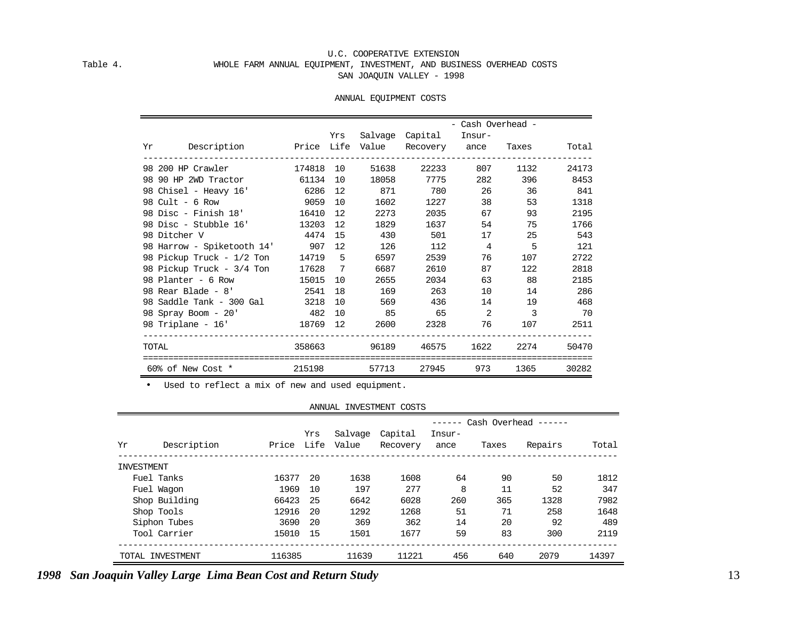#### U.C. COOPERATIVE EXTENSION Table 4. WHOLE FARM ANNUAL EQUIPMENT, INVESTMENT, AND BUSINESS OVERHEAD COSTS SAN JOAQUIN VALLEY - 1998

#### ANNUAL EQUIPMENT COSTS

|                                                 |           |     |       |                 | - Cash Overhead - |                |       |
|-------------------------------------------------|-----------|-----|-------|-----------------|-------------------|----------------|-------|
| Yr Description – Price Life Value Recovery ance |           | Yrs |       | Salvage Capital | Insur-            | Taxes          | Total |
|                                                 |           |     |       |                 |                   |                |       |
| 98 200 HP Crawler                               | 174818 10 |     | 51638 | 22233           | 807               | 1132           | 24173 |
| 98 90 HP 2WD Tractor 61134 10                   |           |     | 18058 | 7775            | 282               | 396            | 8453  |
| 98 Chisel - Heavy 16' 6286                      |           | 12  | 871   | 780             |                   | 26 36          | 841   |
| 98 Cult - 6 Row                                 | 9059      | 10  | 1602  | 1227            |                   | 53             | 1318  |
| 98 Disc - Finish 18'                            | 16410     | 12  | 2273  | 2035            | 67                | 93             | 2195  |
| 98 Disc - Stubble 16' 13203                     |           | 12  | 1829  | 1637            | 54                | 75             | 1766  |
| 98 Ditcher V                                    | 4474      | 15  | 430   | 501             | 17                | 25             | 543   |
| 98 Harrow - Spiketooth 14' 907 12               |           |     | 126   | 112             | $\overline{4}$    | 5              | 121   |
| 98 Pickup Truck - 1/2 Ton                       | 14719     | -5  | 6597  | 2539            | 76                | 107            | 2722  |
| 98 Pickup Truck - 3/4 Ton 17628 7               |           |     | 6687  | 2610            | 87                | 122            | 2818  |
| 98 Planter - 6 Row 15015                        |           | 10  | 2655  | 2034            | 63                | 88             | 2185  |
| 98 Rear Blade - 8'                              | 2541 18   |     | 169   | 263             | 10                | 14             | 286   |
| 98 Saddle Tank - 300 Gal                        | 3218 10   |     | 569   | 436             | 14                | 19             | 468   |
| 98 Spray Boom - 20' 482 10                      |           |     | 85    | 65              | 2                 | $\overline{3}$ | 70    |
| 98 Triplane - 16' 18769 12                      |           |     | 2600  | 2328            | 76                | 107            | 2511  |
| TOTAL                                           | 358663    |     | 96189 | 46575           | 1622              | 2274           | 50470 |
| 60% of New Cost *                               | 215198    |     | 57713 | 27945           | 973               | 1365           | 30282 |

• Used to reflect a mix of new and used equipment.

#### ANNUAL INVESTMENT COSTS

|            |                  |        |             |                  |                     |                |       | $----$ Cash Overhead $----$ |       |
|------------|------------------|--------|-------------|------------------|---------------------|----------------|-------|-----------------------------|-------|
| Yr         | Description      | Price  | Yrs<br>Life | Salvage<br>Value | Capital<br>Recovery | Insur-<br>ance | Taxes | Repairs                     | Total |
| INVESTMENT |                  |        |             |                  |                     |                |       |                             |       |
|            | Fuel Tanks       | 16377  | -20         | 1638             | 1608                | 64             | 90    | 50                          | 1812  |
|            | Fuel Waqon       | 1969   | 10          | 197              | 277                 | 8              | 11    | 52                          | 347   |
|            | Shop Building    | 66423  | 25          | 6642             | 6028                | 260            | 365   | 1328                        | 7982  |
|            | Shop Tools       | 12916  | -20         | 1292             | 1268                | 51             | 71    | 258                         | 1648  |
|            | Siphon Tubes     | 3690   | -20         | 369              | 362                 | 14             | 20    | 92                          | 489   |
|            | Tool Carrier     | 15010  | 15          | 1501             | 1677                | 59             | 83    | 300                         | 2119  |
|            | TOTAL INVESTMENT | 116385 |             | 11639            | 11221               | 456            | 640   | 2079                        | 14397 |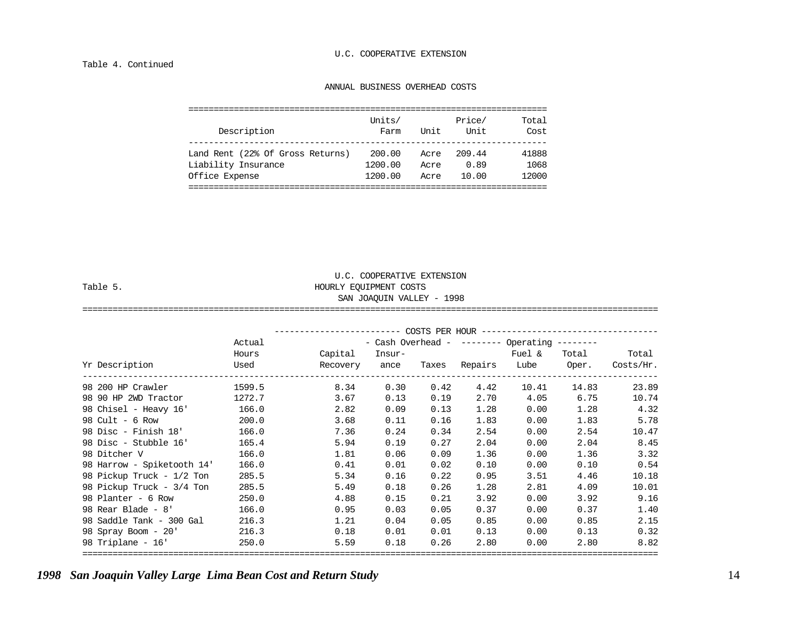#### Table 4. Continued

#### ANNUAL BUSINESS OVERHEAD COSTS

U.C. COOPERATIVE EXTENSION

| Description                      | Units/<br>Farm | Unit | Price/<br>Unit | Total<br>Cost |
|----------------------------------|----------------|------|----------------|---------------|
| Land Rent (22% Of Gross Returns) | 200.00         | Acre | 209.44         | 41888         |
| Liability Insurance              | 1200.00        | Acre | 0.89           | 1068          |
| Office Expense                   | 1200.00        | Acre | 10.00          | 12000         |
|                                  |                |      |                |               |

| Table 5.             |        | HOURLY EOUIPMENT COSTS | SAN JOAQUIN VALLEY - 1998 |                |         |                                      |           |           |
|----------------------|--------|------------------------|---------------------------|----------------|---------|--------------------------------------|-----------|-----------|
|                      |        |                        |                           | COSTS PER HOUR |         |                                      |           |           |
|                      | Actual |                        |                           |                |         | - Cash Overhead - -------- Operating | --------- |           |
|                      | Hours  | Capital                | Insur-                    |                |         | Fuel &                               | Total     | Total     |
| Yr Description       | Used   | Recovery               | ance                      | Taxes          | Repairs | Lube                                 | Oper.     | Costs/Hr. |
| 98 200 HP Crawler    | 1599.5 | 8.34                   | 0.30                      | 0.42           | 4.42    | 10.41                                | 14.83     | 23.89     |
| 98 90 HP 2WD Tractor | 1272.7 | 3.67                   | 0.13                      | 0.19           | 2.70    | 4.05                                 | 6.75      | 10.74     |

==================================================================================================================

| 98 Chisel - Heavy 16'      | 166.0 | 2.82 | 0.09 | 0.13 | 1.28 | 0.00 | 1.28 | 4.32  |
|----------------------------|-------|------|------|------|------|------|------|-------|
| 98 Cult - $6$ Row          | 200.0 | 3.68 | 0.11 | 0.16 | 1.83 | 0.00 | 1.83 | 5.78  |
| 98 Disc - Finish 18'       | 166.0 | 7.36 | 0.24 | 0.34 | 2.54 | 0.00 | 2.54 | 10.47 |
| 98 Disc - Stubble 16'      | 165.4 | 5.94 | 0.19 | 0.27 | 2.04 | 0.00 | 2.04 | 8.45  |
| 98 Ditcher V               | 166.0 | 1.81 | 0.06 | 0.09 | 1.36 | 0.00 | 1.36 | 3.32  |
| 98 Harrow - Spiketooth 14' | 166.0 | 0.41 | 0.01 | 0.02 | 0.10 | 0.00 | 0.10 | 0.54  |
| 98 Pickup Truck - 1/2 Ton  | 285.5 | 5.34 | 0.16 | 0.22 | 0.95 | 3.51 | 4.46 | 10.18 |
| 98 Pickup Truck - 3/4 Ton  | 285.5 | 5.49 | 0.18 | 0.26 | 1.28 | 2.81 | 4.09 | 10.01 |
| 98 Planter - 6 Row         | 250.0 | 4.88 | 0.15 | 0.21 | 3.92 | 0.00 | 3.92 | 9.16  |
| 98 Rear Blade - 8'         | 166.0 | 0.95 | 0.03 | 0.05 | 0.37 | 0.00 | 0.37 | 1.40  |
| 98 Saddle Tank - 300 Gal   | 216.3 | 1.21 | 0.04 | 0.05 | 0.85 | 0.00 | 0.85 | 2.15  |
| 98 Spray Boom - 20'        | 216.3 | 0.18 | 0.01 | 0.01 | 0.13 | 0.00 | 0.13 | 0.32  |
| 98 Triplane - 16'          | 250.0 | 5.59 | 0.18 | 0.26 | 2.80 | 0.00 | 2.80 | 8.82  |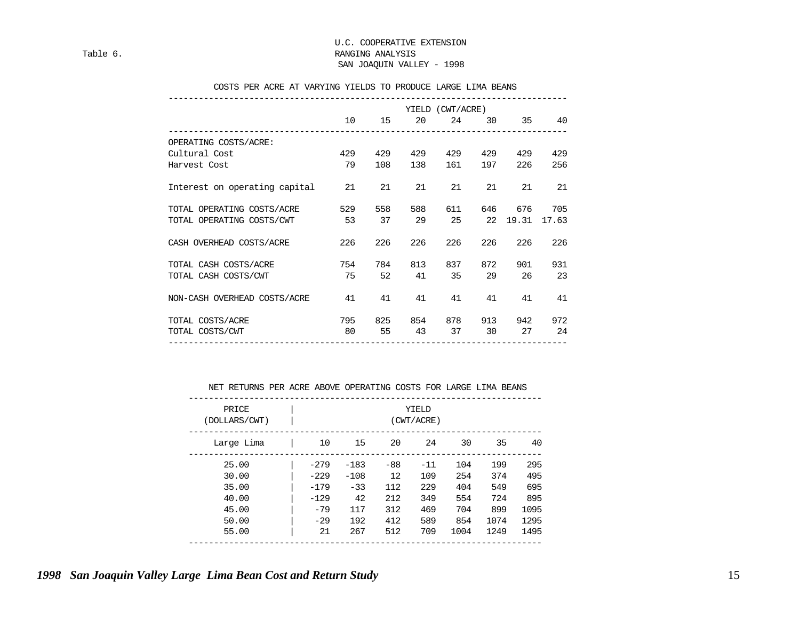#### U.C. COOPERATIVE EXTENSION Table 6. Table 8. RANGING ANALYSIS SAN JOAQUIN VALLEY - 1998

#### COSTS PER ACRE AT VARYING YIELDS TO PRODUCE LARGE LIMA BEANS

|                               |     |     |     | YIELD (CWT/ACRE) |     |          |       |
|-------------------------------|-----|-----|-----|------------------|-----|----------|-------|
|                               | 10  | 15  | 20  | 24               | 30  | 35       | 40    |
| OPERATING COSTS/ACRE:         |     |     |     |                  |     |          |       |
| Cultural Cost                 | 429 | 429 | 429 | 429              | 429 | 429      | 429   |
| Harvest Cost                  | 79  | 108 | 138 | 161              | 197 | 226      | 256   |
| Interest on operating capital | 21  | 21  | 21  | 21               | 21  | 21       | 21    |
| TOTAL OPERATING COSTS/ACRE    | 529 | 558 | 588 | 611              | 646 | 676      | 705   |
| TOTAL OPERATING COSTS/CWT     | 53  | 37  | 29  | 25               |     | 22 19.31 | 17.63 |
| CASH OVERHEAD COSTS/ACRE      | 226 | 226 | 226 | 226              | 226 | 226      | 226   |
| TOTAL CASH COSTS/ACRE         | 754 | 784 | 813 | 837              | 872 | 901      | 931   |
| TOTAL CASH COSTS/CWT          | 75  | 52  | 41  | 35               | 29  | 26       | 23    |
| NON-CASH OVERHEAD COSTS/ACRE  | 41  | 41  | 41  | 41               | 41  | 41       | 41    |
| TOTAL COSTS/ACRE              | 795 | 825 | 854 | 878              | 913 | 942      | 972   |
| TOTAL COSTS/CWT               | 80  | 55  | 43  | 37               | 30  | 27       | 24    |

NET RETURNS PER ACRE ABOVE OPERATING COSTS FOR LARGE LIMA BEANS

|      |      |      | YIELD<br>(CWT/ACRE) |                   |        |        | PRICE<br>(DOLLARS/CWT) |
|------|------|------|---------------------|-------------------|--------|--------|------------------------|
| 40   | 35   | 30   | 24                  | 20                | 15     | 10     | Large Lima             |
| 295  | 199  | 104  | $-11$               | $-88$             | $-183$ | $-279$ | 25.00                  |
| 495  | 374  | 254  | 109                 | $12 \overline{ }$ | $-108$ | $-229$ | 30.00                  |
| 695  | 549  | 404  | 229                 | 112               | $-33$  | $-179$ | 35.00                  |
| 895  | 724  | 554  | 349                 | 212               | 42     | $-129$ | 40.00                  |
| 1095 | 899  | 704  | 469                 | 312               | 117    | $-79$  | 45.00                  |
| 1295 | 1074 | 854  | 589                 | 412               | 192    | $-29$  | 50.00                  |
| 1495 | 1249 | 1004 | 709                 | 512               | 267    | 21     | 55.00                  |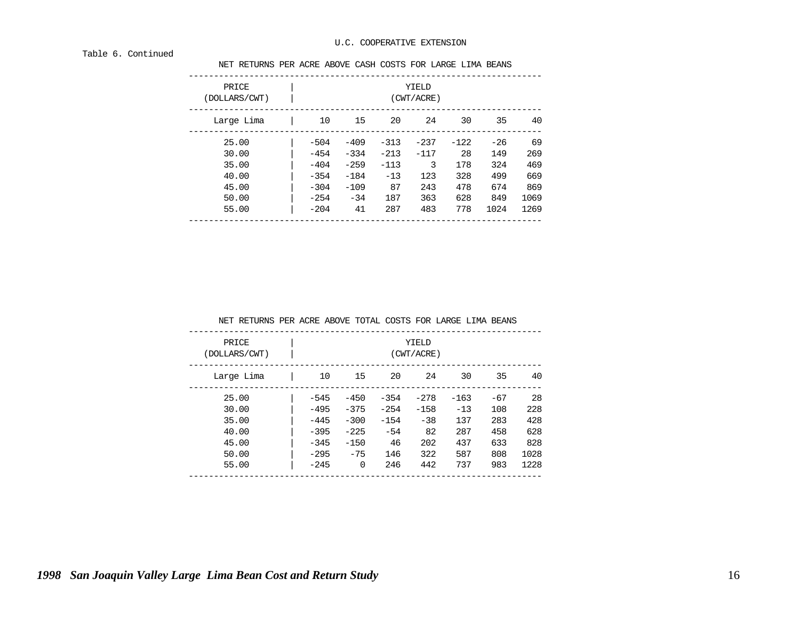#### Table 6. Continued

NET RETURNS PER ACRE ABOVE CASH COSTS FOR LARGE LIMA BEANS

| PRICE<br>(DOLLARS/CWT) | YIELD<br>(CWT/ACRE) |        |        |        |        |       |      |
|------------------------|---------------------|--------|--------|--------|--------|-------|------|
| 15<br>10<br>Large Lima | 20                  | 24     | 30     | 35     | 40     |       |      |
| 25.00                  | $-504$              | $-409$ | $-313$ | $-237$ | $-122$ | $-26$ | 69   |
| 30.00                  | $-454$              | $-334$ | $-213$ | $-117$ | 28     | 149   | 269  |
| 35.00                  | $-404$              | $-259$ | $-113$ | 3      | 178    | 324   | 469  |
| 40.00                  | $-354$              | $-184$ | $-13$  | 123    | 328    | 499   | 669  |
| 45.00                  | $-304$              | $-109$ | 87     | 243    | 478    | 674   | 869  |
| 50.00                  | $-254$              | $-34$  | 187    | 363    | 628    | 849   | 1069 |
| 55.00                  | $-204$              | 41     | 287    | 483    | 778    | 1024  | 1269 |

| NET RETURNS PER ACRE ABOVE TOTAL COSTS FOR LARGE LIMA BEANS |        |        |        |                     |        |       |       |      |
|-------------------------------------------------------------|--------|--------|--------|---------------------|--------|-------|-------|------|
| PRICE<br>(DOLLARS/CWT)                                      |        |        |        | YIELD<br>(CWT/ACRE) |        |       |       |      |
| Large Lima                                                  | 10     | 15     | 20     | 24                  |        | 30    | 35    | 40   |
| 25.00                                                       | $-545$ | $-450$ | $-354$ | $-278$              | $-163$ |       | $-67$ | 28   |
| 30.00                                                       | $-495$ | $-375$ | $-254$ | $-158$              |        | $-13$ | 108   | 228  |
| 35.00                                                       | $-445$ | $-300$ | $-154$ | $-38$               |        | 137   | 283   | 428  |
| 40.00                                                       | $-395$ | $-225$ | $-54$  | 82                  |        | 287   | 458   | 628  |
| 45.00                                                       | $-345$ | $-150$ | 46     | 202                 |        | 437   | 633   | 828  |
| 50.00                                                       | $-295$ | $-75$  | 146    | 322                 |        | 587   | 808   | 1028 |
| 55.00                                                       | $-245$ | 0      | 246    | 442                 |        | 737   | 983   | 1228 |
|                                                             |        |        |        |                     |        |       |       |      |